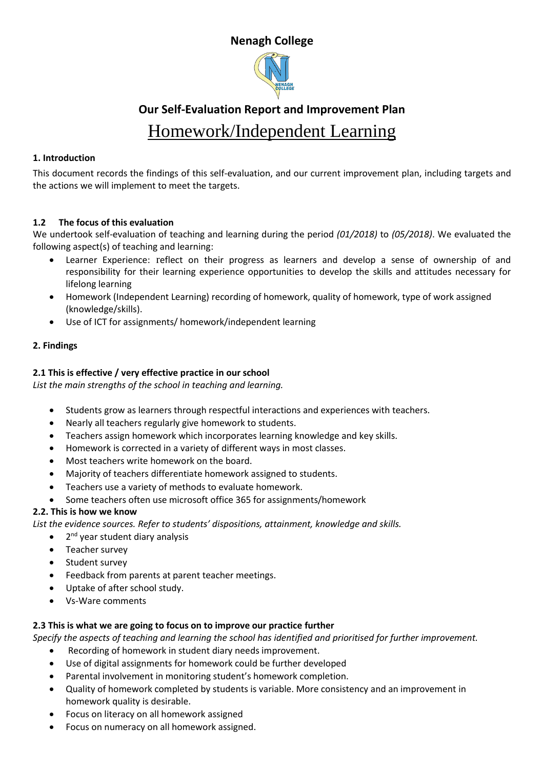### **Nenagh College**



# **Our Self-Evaluation Report and Improvement Plan**  Homework/Independent Learning

#### **1. Introduction**

This document records the findings of this self-evaluation, and our current improvement plan, including targets and the actions we will implement to meet the targets.

#### **1.2 The focus of this evaluation**

We undertook self-evaluation of teaching and learning during the period *(01/2018)* to *(05/2018)*. We evaluated the following aspect(s) of teaching and learning:

- Learner Experience: reflect on their progress as learners and develop a sense of ownership of and responsibility for their learning experience opportunities to develop the skills and attitudes necessary for lifelong learning
- Homework (Independent Learning) recording of homework, quality of homework, type of work assigned (knowledge/skills).
- Use of ICT for assignments/ homework/independent learning

#### **2. Findings**

#### **2.1 This is effective / very effective practice in our school**

*List the main strengths of the school in teaching and learning.*

- Students grow as learners through respectful interactions and experiences with teachers.
- Nearly all teachers regularly give homework to students.
- Teachers assign homework which incorporates learning knowledge and key skills.
- Homework is corrected in a variety of different ways in most classes.
- Most teachers write homework on the board.
- Majority of teachers differentiate homework assigned to students.
- Teachers use a variety of methods to evaluate homework.
- Some teachers often use microsoft office 365 for assignments/homework

#### **2.2. This is how we know**

*List the evidence sources. Refer to students' dispositions, attainment, knowledge and skills.* 

- 2<sup>nd</sup> year student diary analysis
- Teacher survey
- Student survey
- Feedback from parents at parent teacher meetings.
- Uptake of after school study.
- Vs-Ware comments

#### **2.3 This is what we are going to focus on to improve our practice further**

*Specify the aspects of teaching and learning the school has identified and prioritised for further improvement.*

- Recording of homework in student diary needs improvement.
- Use of digital assignments for homework could be further developed
- Parental involvement in monitoring student's homework completion.
- Quality of homework completed by students is variable. More consistency and an improvement in homework quality is desirable.
- Focus on literacy on all homework assigned
- Focus on numeracy on all homework assigned.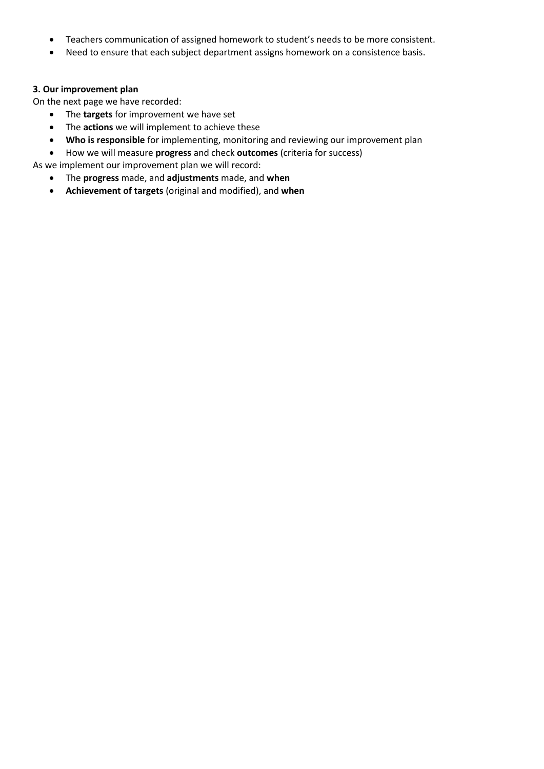- Teachers communication of assigned homework to student's needs to be more consistent.
- Need to ensure that each subject department assigns homework on a consistence basis.

#### **3. Our improvement plan**

On the next page we have recorded:

- The **targets** for improvement we have set
- The **actions** we will implement to achieve these
- **Who is responsible** for implementing, monitoring and reviewing our improvement plan
- How we will measure **progress** and check **outcomes** (criteria for success)

As we implement our improvement plan we will record:

- The **progress** made, and **adjustments** made, and **when**
- **Achievement of targets** (original and modified), and **when**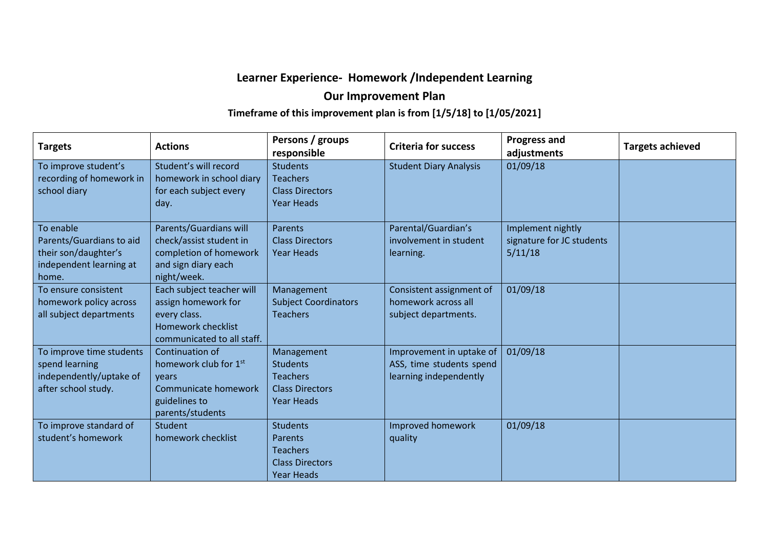# **Learner Experience- Homework /Independent Learning**

# **Our Improvement Plan**

# **Timeframe of this improvement plan is from [1/5/18] to [1/05/2021]**

| <b>Targets</b>           | <b>Actions</b>             | Persons / groups<br>responsible | <b>Criteria for success</b>   | <b>Progress and</b><br>adjustments | <b>Targets achieved</b> |
|--------------------------|----------------------------|---------------------------------|-------------------------------|------------------------------------|-------------------------|
| To improve student's     | Student's will record      | <b>Students</b>                 | <b>Student Diary Analysis</b> | 01/09/18                           |                         |
| recording of homework in | homework in school diary   | <b>Teachers</b>                 |                               |                                    |                         |
| school diary             | for each subject every     | <b>Class Directors</b>          |                               |                                    |                         |
|                          | day.                       | <b>Year Heads</b>               |                               |                                    |                         |
| To enable                | Parents/Guardians will     | Parents                         | Parental/Guardian's           | Implement nightly                  |                         |
| Parents/Guardians to aid | check/assist student in    | <b>Class Directors</b>          | involvement in student        | signature for JC students          |                         |
| their son/daughter's     | completion of homework     | <b>Year Heads</b>               | learning.                     | 5/11/18                            |                         |
| independent learning at  | and sign diary each        |                                 |                               |                                    |                         |
| home.                    | night/week.                |                                 |                               |                                    |                         |
| To ensure consistent     | Each subject teacher will  | Management                      | Consistent assignment of      | 01/09/18                           |                         |
| homework policy across   | assign homework for        | <b>Subject Coordinators</b>     | homework across all           |                                    |                         |
| all subject departments  | every class.               | <b>Teachers</b>                 | subject departments.          |                                    |                         |
|                          | <b>Homework checklist</b>  |                                 |                               |                                    |                         |
|                          | communicated to all staff. |                                 |                               |                                    |                         |
| To improve time students | Continuation of            | Management                      | Improvement in uptake of      | 01/09/18                           |                         |
| spend learning           | homework club for 1st      | <b>Students</b>                 | ASS, time students spend      |                                    |                         |
| independently/uptake of  | vears                      | <b>Teachers</b>                 | learning independently        |                                    |                         |
| after school study.      | Communicate homework       | <b>Class Directors</b>          |                               |                                    |                         |
|                          | guidelines to              | <b>Year Heads</b>               |                               |                                    |                         |
|                          | parents/students           |                                 |                               |                                    |                         |
| To improve standard of   | <b>Student</b>             | <b>Students</b>                 | Improved homework             | 01/09/18                           |                         |
| student's homework       | homework checklist         | <b>Parents</b>                  | quality                       |                                    |                         |
|                          |                            | <b>Teachers</b>                 |                               |                                    |                         |
|                          |                            | <b>Class Directors</b>          |                               |                                    |                         |
|                          |                            | <b>Year Heads</b>               |                               |                                    |                         |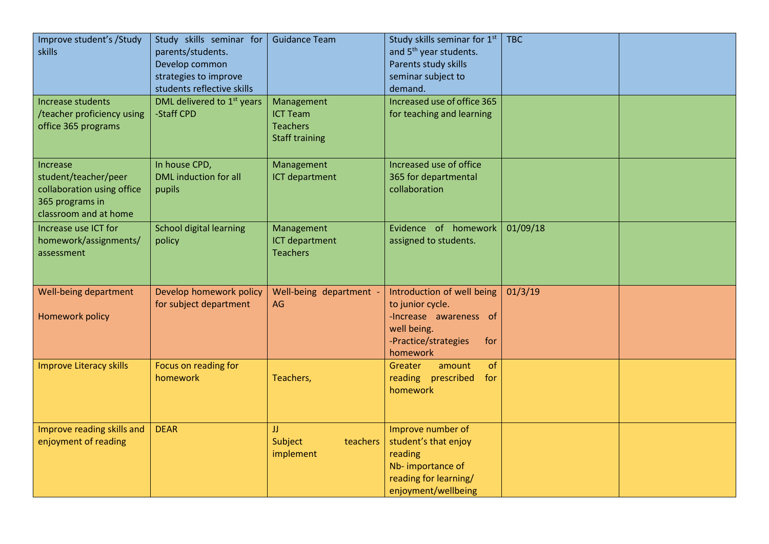| <b>skills</b>                                       | Improve student's /Study                            | Study skills seminar for<br>parents/students.<br>Develop common<br>strategies to improve<br>students reflective skills | <b>Guidance Team</b>                                                      | Study skills seminar for 1st<br>and 5 <sup>th</sup> year students.<br>Parents study skills<br>seminar subject to<br>demand.        | <b>TBC</b> |  |
|-----------------------------------------------------|-----------------------------------------------------|------------------------------------------------------------------------------------------------------------------------|---------------------------------------------------------------------------|------------------------------------------------------------------------------------------------------------------------------------|------------|--|
| Increase students<br>office 365 programs            | /teacher proficiency using                          | DML delivered to 1 <sup>st</sup> years<br>-Staff CPD                                                                   | Management<br><b>ICT Team</b><br><b>Teachers</b><br><b>Staff training</b> | Increased use of office 365<br>for teaching and learning                                                                           |            |  |
| Increase<br>student/teacher/peer<br>365 programs in | collaboration using office<br>classroom and at home | In house CPD,<br>DML induction for all<br>pupils                                                                       | Management<br><b>ICT department</b>                                       | Increased use of office<br>365 for departmental<br>collaboration                                                                   |            |  |
| Increase use ICT for<br>assessment                  | homework/assignments/                               | <b>School digital learning</b><br>policy                                                                               | Management<br>ICT department<br><b>Teachers</b>                           | Evidence of homework<br>assigned to students.                                                                                      | 01/09/18   |  |
| <b>Homework policy</b>                              | Well-being department                               | Develop homework policy<br>for subject department                                                                      | Well-being department -<br>AG                                             | Introduction of well being<br>to junior cycle.<br>-Increase awareness of<br>well being.<br>-Practice/strategies<br>for<br>homework | 01/3/19    |  |
|                                                     | <b>Improve Literacy skills</b>                      | Focus on reading for<br>homework                                                                                       | Teachers,                                                                 | of<br>Greater<br>amount<br>reading prescribed<br>for<br>homework                                                                   |            |  |
| enjoyment of reading                                | Improve reading skills and                          | <b>DEAR</b>                                                                                                            | IJ<br>teachers<br>Subject<br>implement                                    | Improve number of<br>student's that enjoy<br>reading<br>Nb-importance of<br>reading for learning/<br>enjoyment/wellbeing           |            |  |